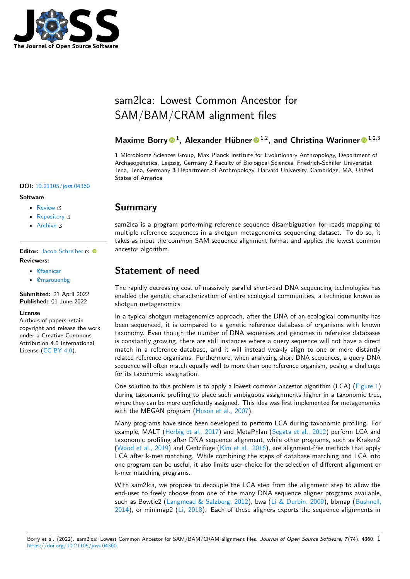

# sam2lca: Lowest Common Ancestor for SAM/BAM/CRAM alignment files

Maxime Borry<sup>1</sup>, Alexander Hübner<sup>1,2</sup>, and Christina Warinner<sup>1,2,3</sup>

**1** Microbiome Sciences Group, Max Planck Institute for Evolutionary Anthropology, Department of Archaeogenetics, Leipzig, Germany **2** Faculty of Biological Sciences, Friedrich-Schiller Universität Jena, Jena, Germany **3** Department of Anthropology, Harvard University, Cambridge, MA, United States of America

#### **DOI:** [10.21105/joss.04360](https://doi.org/10.21105/joss.04360)

#### **Software**

- [Review](https://github.com/openjournals/joss-reviews/issues/4360) C
- [Repository](https://github.com/maxibor/sam2lca) &
- [Archive](https://doi.org/10.5281/zenodo.6585307)

Editor: [Jacob Schreiber](https://jmschrei.github.io/) C<sup>®</sup> **Reviewers:**

- [@fasnicar](https://github.com/fasnicar)
- [@marouenbg](https://github.com/marouenbg)

**Submitted:** 21 April 2022 **Published:** 01 June 2022

#### **License**

Authors of papers retain copyright and release the work under a Creative Commons Attribution 4.0 International License [\(CC BY 4.0\)](https://creativecommons.org/licenses/by/4.0/).

#### **Summary**

sam2lca is a program performing reference sequence disambiguation for reads mapping to multiple reference sequences in a shotgun metagenomics sequencing dataset. To do so, it takes as input the common SAM sequence alignment format and applies the lowest common ancestor algorithm.

## **Statement of need**

The rapidly decreasing cost of massively parallel short-read DNA sequencing technologies has enabled the genetic characterization of entire ecological communities, a technique known as shotgun metagenomics.

In a typical shotgun metagenomics approach, after the DNA of an ecological community has been sequenced, it is compared to a genetic reference database of organisms with known taxonomy. Even though the number of DNA sequences and genomes in reference databases is constantly growing, there are still instances where a query sequence will not have a direct match in a reference database, and it will instead weakly align to one or more distantly related reference organisms. Furthermore, when analyzing short DNA sequences, a query DNA sequence will often match equally well to more than one reference organism, posing a challenge for its taxonomic assignation.

One solution to this problem is to apply a lowest common ancestor algorithm (LCA) [\(Figure 1\)](#page-1-0) during taxonomic profiling to place such ambiguous assignments higher in a taxonomic tree, where they can be more confidently assigned. This idea was first implemented for metagenomics with the MEGAN program [\(Huson et al., 2007\)](#page-2-0).

Many programs have since been developed to perform LCA during taxonomic profiling. For example, MALT [\(Herbig et al., 2017\)](#page-2-1) and MetaPhlan [\(Segata et al., 2012\)](#page-2-2) perform LCA and taxonomic profiling after DNA sequence alignment, while other programs, such as Kraken2 [\(Wood et al., 2019\)](#page-2-3) and Centrifuge [\(Kim et al., 2016\)](#page-2-4), are alignment-free methods that apply LCA after k-mer matching. While combining the steps of database matching and LCA into one program can be useful, it also limits user choice for the selection of different alignment or k-mer matching programs.

With sam2lca, we propose to decouple the LCA step from the alignment step to allow the end-user to freely choose from one of the many DNA sequence aligner programs available, such as Bowtie2 [\(Langmead & Salzberg, 2012\)](#page-2-5), bwa [\(Li & Durbin, 2009\)](#page-2-6), bbmap [\(Bushnell,](#page-2-7)  $2014$ ), or minimap2 (Li,  $2018$ ). Each of these aligners exports the sequence alignments in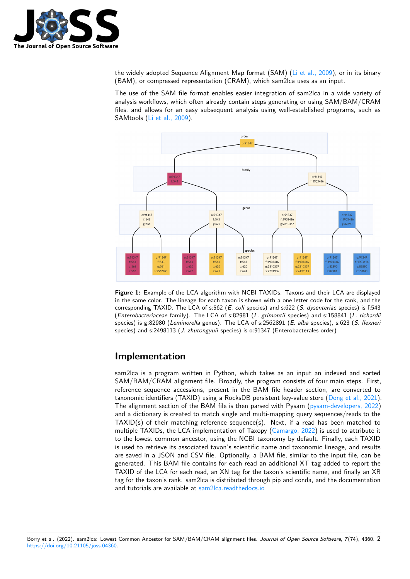

the widely adopted Sequence Alignment Map format (SAM) [\(Li et al., 2009\)](#page-2-9), or in its binary (BAM), or compressed representation (CRAM), which sam2lca uses as an input.

The use of the SAM file format enables easier integration of sam2lca in a wide variety of analysis workflows, which often already contain steps generating or using SAM/BAM/CRAM files, and allows for an easy subsequent analysis using well-established programs, such as SAMtools [\(Li et al., 2009\)](#page-2-9).

<span id="page-1-0"></span>

**Figure 1:** Example of the LCA algorithm with NCBI TAXIDs. Taxons and their LCA are displayed in the same color. The lineage for each taxon is shown with a one letter code for the rank, and the corresponding TAXID. The LCA of s:562 (E. coli species) and s:622 (S. dysenteriae species) is f:543 (Enterobacteriaceae family). The LCA of s:82981 (L. grimontii species) and s:158841 (L. richardii species) is g:82980 (Leminorella genus). The LCA of s:2562891 (E. alba species), s:623 (S. flexneri species) and s:2498113 (*J. zhutongyuii* species) is o:91347 (Enterobacterales order)

#### **Implementation**

sam2lca is a program written in Python, which takes as an input an indexed and sorted SAM/BAM/CRAM alignment file. Broadly, the program consists of four main steps. First, reference sequence accessions, present in the BAM file header section, are converted to taxonomic identifiers (TAXID) using a RocksDB persistent key-value store [\(Dong et al., 2021\)](#page-2-10). The alignment section of the BAM file is then parsed with Pysam [\(pysam-developers, 2022\)](#page-2-11) and a dictionary is created to match single and multi-mapping query sequences/reads to the TAXID(s) of their matching reference sequence(s). Next, if a read has been matched to multiple TAXIDs, the LCA implementation of Taxopy [\(Camargo, 2022\)](#page-2-12) is used to attribute it to the lowest common ancestor, using the NCBI taxonomy by default. Finally, each TAXID is used to retrieve its associated taxon's scientific name and taxonomic lineage, and results are saved in a JSON and CSV file. Optionally, a BAM file, similar to the input file, can be generated. This BAM file contains for each read an additional XT tag added to report the TAXID of the LCA for each read, an XN tag for the taxon's scientific name, and finally an XR tag for the taxon's rank. sam2lca is distributed through pip and conda, and the documentation and tutorials are available at [sam2lca.readthedocs.io](https://sam2lca.readthedocs.io)

Borry et al. (2022). sam2lca: Lowest Common Ancestor for SAM/BAM/CRAM alignment files. Journal of Open Source Software, 7(74), 4360. 2 [https://doi.org/10.21105/joss.04360.](https://doi.org/10.21105/joss.04360)